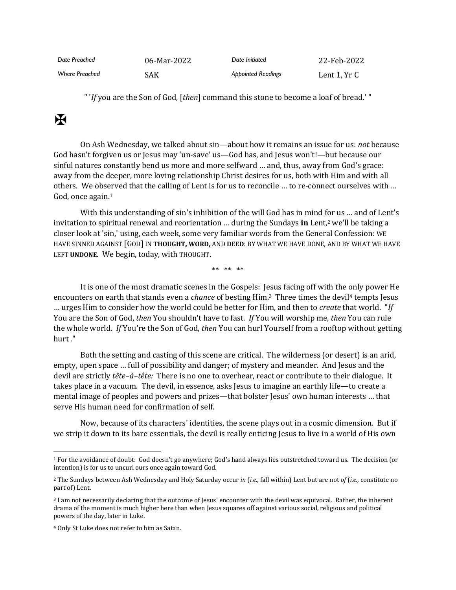| Date Preached         | 06-Mar-2022 | Date Initiated            | 22-Feb-2022  |
|-----------------------|-------------|---------------------------|--------------|
| <b>Where Preached</b> | SAK         | <b>Appointed Readings</b> | Lent 1. Yr C |

" '*If* you are the Son of God, [*then*] command this stone to become a loaf of bread.' "

## $\mathbf K$

On Ash Wednesday, we talked about sin—about how it remains an issue for us: *not* because God hasn't forgiven us or Jesus may 'un-save' us—God has, and Jesus won't!—but because our sinful natures constantly bend us more and more selfward … and, thus, away from God's grace: away from the deeper, more loving relationship Christ desires for us, both with Him and with all others. We observed that the calling of Lent is for us to reconcile … to re-connect ourselves with … God, once again.<sup>1</sup>

With this understanding of sin's inhibition of the will God has in mind for us … and of Lent's invitation to spiritual renewal and reorientation … during the Sundays **in** Lent,<sup>2</sup> we'll be taking a closer look at 'sin,' using, each week, some very familiar words from the General Confession: WE HAVE SINNED AGAINST [GOD] IN **THOUGHT, WORD,** AND **DEED**: BY WHAT WE HAVE DONE, AND BY WHAT WE HAVE LEFT **UNDONE**. We begin, today, with THOUGHT.

\*\* \*\* \*\*

It is one of the most dramatic scenes in the Gospels: Jesus facing off with the only power He encounters on earth that stands even a *chance* of besting Him.3 Three times the devil<sup>4</sup> tempts Jesus … urges Him to consider how the world could be better for Him, and then to *create* that world. "*If* You are the Son of God, *then* You shouldn't have to fast. *If* You will worship me, *then* You can rule the whole world. *If* You're the Son of God, *then* You can hurl Yourself from a rooftop without getting hurt ."

Both the setting and casting of this scene are critical. The wilderness (or desert) is an arid, empty, open space … full of possibility and danger; of mystery and meander. And Jesus and the devil are strictly *tête–à–tête:* There is no one to overhear, react or contribute to their dialogue. It takes place in a vacuum. The devil, in essence, asks Jesus to imagine an earthly life—to create a mental image of peoples and powers and prizes—that bolster Jesus' own human interests … that serve His human need for confirmation of self.

Now, because of its characters' identities, the scene plays out in a cosmic dimension. But if we strip it down to its bare essentials, the devil is really enticing Jesus to live in a world of His own

<sup>1</sup> For the avoidance of doubt: God doesn't go anywhere; God's hand always lies outstretched toward us. The decision (or intention) is for us to uncurl ours once again toward God.

<sup>2</sup> The Sundays between Ash Wednesday and Holy Saturday occur *in* (*i.e.,* fall within) Lent but are not *of* (*i.e.,* constitute no part of) Lent.

<sup>3</sup> I am not necessarily declaring that the outcome of Jesus' encounter with the devil was equivocal. Rather, the inherent drama of the moment is much higher here than when Jesus squares off against various social, religious and political powers of the day, later in Luke.

<sup>4</sup> Only St Luke does not refer to him as Satan.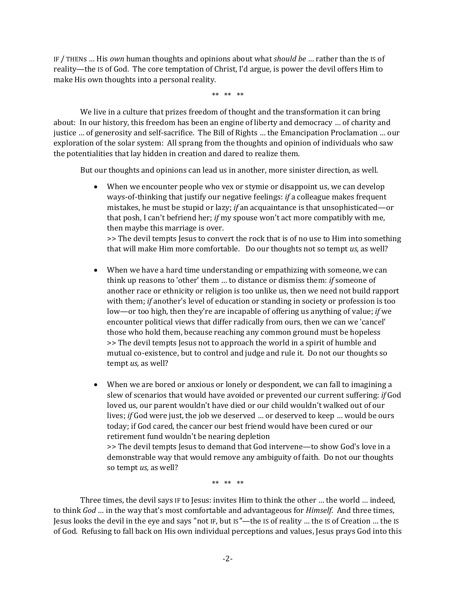IF / THENs … His *own* human thoughts and opinions about what *should be* … rather than the IS of reality—the IS of God. The core temptation of Christ, I'd argue, is power the devil offers Him to make His own thoughts into a personal reality.

\*\* \*\* \*\*

We live in a culture that prizes freedom of thought and the transformation it can bring about: In our history, this freedom has been an engine of liberty and democracy … of charity and justice … of generosity and self-sacrifice. The Bill of Rights … the Emancipation Proclamation … our exploration of the solar system: All sprang from the thoughts and opinion of individuals who saw the potentialities that lay hidden in creation and dared to realize them.

But our thoughts and opinions can lead us in another, more sinister direction, as well.

• When we encounter people who vex or stymie or disappoint us, we can develop ways-of-thinking that justify our negative feelings: *if* a colleague makes frequent mistakes, he must be stupid or lazy; *if* an acquaintance is that unsophisticated—or that posh, I can't befriend her; *if* my spouse won't act more compatibly with me, then maybe this marriage is over.

>> The devil tempts Jesus to convert the rock that is of no use to Him into something that will make Him more comfortable. Do our thoughts not so tempt *us,* as well?

- When we have a hard time understanding or empathizing with someone, we can think up reasons to 'other' them … to distance or dismiss them: *if* someone of another race or ethnicity or religion is too unlike us, then we need not build rapport with them; *if* another's level of education or standing in society or profession is too low—or too high, then they're are incapable of offering us anything of value; *if* we encounter political views that differ radically from ours, then we can we 'cancel' those who hold them, because reaching any common ground must be hopeless >> The devil tempts Jesus not to approach the world in a spirit of humble and mutual co-existence, but to control and judge and rule it. Do not our thoughts so tempt *us,* as well?
- When we are bored or anxious or lonely or despondent, we can fall to imagining a slew of scenarios that would have avoided or prevented our current suffering: *if* God loved us, our parent wouldn't have died or our child wouldn't walked out of our lives; *if* God were just, the job we deserved … or deserved to keep … would be ours today; if God cared, the cancer our best friend would have been cured or our retirement fund wouldn't be nearing depletion

>> The devil tempts Jesus to demand that God intervene—to show God's love in a demonstrable way that would remove any ambiguity of faith. Do not our thoughts so tempt *us,* as well?

\*\* \*\* \*\*

Three times, the devil says IF to Jesus: invites Him to think the other … the world … indeed, to think *God* … in the way that's most comfortable and advantageous for *Himself*. And three times, Jesus looks the devil in the eye and says "not IF, but IS*"—*the IS of reality … the IS of Creation … the IS of God. Refusing to fall back on His own individual perceptions and values, Jesus prays God into this